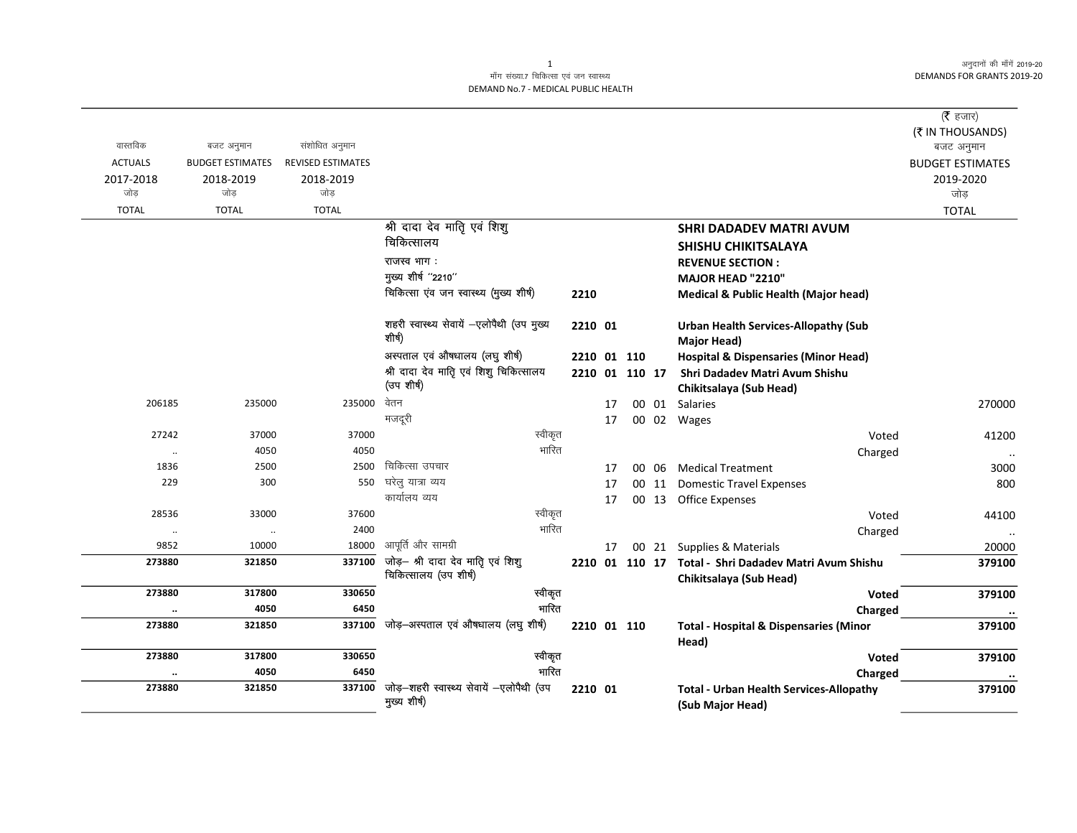अनुदानों की माँगें 2019-20 **DEMANDS FOR GRANTS 2019-20** 

## माँग संख्या.7 चिकित्सा एवं जन स्वास्थ्य DEMAND No.7 - MEDICAL PUBLIC HEALTH

|                  |                         |                          |                                                            |             |    |                |       |                                                                    | ( $\bar{\tau}$ हजार)    |
|------------------|-------------------------|--------------------------|------------------------------------------------------------|-------------|----|----------------|-------|--------------------------------------------------------------------|-------------------------|
| वास्तविक         |                         | संशोधित अनुमान           |                                                            |             |    |                |       |                                                                    | (₹ IN THOUSANDS)        |
|                  | बजट अनुमान              | <b>REVISED ESTIMATES</b> |                                                            |             |    |                |       |                                                                    | बजट अनुमान              |
| <b>ACTUALS</b>   | <b>BUDGET ESTIMATES</b> |                          |                                                            |             |    |                |       |                                                                    | <b>BUDGET ESTIMATES</b> |
| 2017-2018<br>जोड | 2018-2019<br>जोड        | 2018-2019<br>जोड         |                                                            |             |    |                |       |                                                                    | 2019-2020<br>जोड़       |
| <b>TOTAL</b>     | <b>TOTAL</b>            | <b>TOTAL</b>             |                                                            |             |    |                |       |                                                                    | <b>TOTAL</b>            |
|                  |                         |                          | श्री दादा देव माति एवं शिशु                                |             |    |                |       |                                                                    |                         |
|                  |                         |                          | चिकित्सालय                                                 |             |    |                |       | <b>SHRI DADADEV MATRI AVUM</b>                                     |                         |
|                  |                         |                          | राजस्व भाग:                                                |             |    |                |       | SHISHU CHIKITSALAYA                                                |                         |
|                  |                         |                          | मुख्य शीर्ष "2210"                                         |             |    |                |       | <b>REVENUE SECTION:</b>                                            |                         |
|                  |                         |                          | चिकित्सा एंव जन स्वास्थ्य (मुख्य शीर्ष)                    |             |    |                |       | MAJOR HEAD "2210"                                                  |                         |
|                  |                         |                          |                                                            | 2210        |    |                |       | <b>Medical &amp; Public Health (Major head)</b>                    |                         |
|                  |                         |                          | शहरी स्वास्थ्य सेवायें -एलोपैथी (उप मुख्य<br>शीर्ष)        | 2210 01     |    |                |       | <b>Urban Health Services-Allopathy (Sub</b><br><b>Major Head)</b>  |                         |
|                  |                         |                          | अस्पताल एवं औषधालय (लघु शीर्ष)                             | 2210 01 110 |    |                |       | <b>Hospital &amp; Dispensaries (Minor Head)</b>                    |                         |
|                  |                         |                          | श्री दादा देव मातिृ एवं शिशु चिकित्सालय                    |             |    | 2210 01 110 17 |       | Shri Dadadev Matri Avum Shishu                                     |                         |
|                  |                         |                          | (उप शीर्ष)                                                 |             |    |                |       | Chikitsalaya (Sub Head)                                            |                         |
| 206185           | 235000                  | 235000                   | वेतन                                                       |             | 17 |                |       | 00 01 Salaries                                                     | 270000                  |
|                  |                         |                          | मजदूरी                                                     |             | 17 |                |       | 00 02 Wages                                                        |                         |
| 27242            | 37000                   | 37000                    | स्वीकृत                                                    |             |    |                |       | Voted                                                              | 41200                   |
| $\ldots$         | 4050                    | 4050                     | भारित                                                      |             |    |                |       | Charged                                                            |                         |
| 1836             | 2500                    | 2500                     | चिकित्सा उपचार                                             |             | 17 |                | 00 06 | <b>Medical Treatment</b>                                           | 3000                    |
| 229              | 300                     | 550                      | घरेलु यात्रा व्यय                                          |             | 17 |                | 00 11 | <b>Domestic Travel Expenses</b>                                    | 800                     |
|                  |                         |                          | कार्यालय व्यय                                              |             | 17 |                |       | 00 13 Office Expenses                                              |                         |
| 28536            | 33000                   | 37600                    | स्वीकृत                                                    |             |    |                |       | Voted                                                              | 44100                   |
| $\ldots$         | $\ldots$                | 2400                     | भारित                                                      |             |    |                |       | Charged                                                            |                         |
| 9852             | 10000                   | 18000                    | आपूर्ति और सामग्री                                         |             | 17 |                |       | 00 21 Supplies & Materials                                         | 20000                   |
| 273880           | 321850                  | 337100                   | जोड़- श्री दादा देव माति एवं शिशु<br>चिकित्सालय (उप शीर्ष) |             |    | 2210 01 110 17 |       | Total - Shri Dadadev Matri Avum Shishu<br>Chikitsalaya (Sub Head)  | 379100                  |
| 273880           | 317800                  | 330650                   | स्वीकृत                                                    |             |    |                |       | Voted                                                              | 379100                  |
| $\cdots$         | 4050                    | 6450                     | भारित                                                      |             |    |                |       | Charged                                                            |                         |
| 273880           | 321850                  |                          | 337100 जोड़-अस्पताल एवं औषधालय (लघु शीर्ष)                 | 2210 01 110 |    |                |       | <b>Total - Hospital &amp; Dispensaries (Minor</b><br>Head)         | 379100                  |
| 273880           | 317800                  | 330650                   | स्वीकृत                                                    |             |    |                |       | <b>Voted</b>                                                       | 379100                  |
|                  | 4050                    | 6450                     | गारित                                                      |             |    |                |       | Charged                                                            |                         |
| 273880           | 321850                  | 337100                   | जोड़-शहरी स्वास्थ्य सेवायें -एलोपैथी (उप<br>मुख्य शीर्ष)   | 2210 01     |    |                |       | <b>Total - Urban Health Services-Allopathy</b><br>(Sub Major Head) | 379100                  |

 $\mathbf{1}$